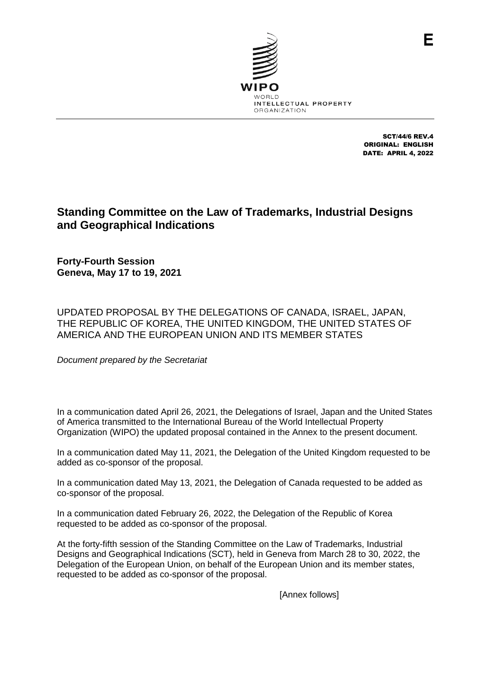

SCT/44/6 REV.4 ORIGINAL: ENGLISH DATE: APRIL 4, 2022

F

# **Standing Committee on the Law of Trademarks, Industrial Designs and Geographical Indications**

**Forty-Fourth Session Geneva, May 17 to 19, 2021**

UPDATED PROPOSAL BY THE DELEGATIONS OF CANADA, ISRAEL, JAPAN, THE REPUBLIC OF KOREA, THE UNITED KINGDOM, THE UNITED STATES OF AMERICA AND THE EUROPEAN UNION AND ITS MEMBER STATES

*Document prepared by the Secretariat*

In a communication dated April 26, 2021, the Delegations of Israel, Japan and the United States of America transmitted to the International Bureau of the World Intellectual Property Organization (WIPO) the updated proposal contained in the Annex to the present document.

In a communication dated May 11, 2021, the Delegation of the United Kingdom requested to be added as co-sponsor of the proposal.

In a communication dated May 13, 2021, the Delegation of Canada requested to be added as co-sponsor of the proposal.

In a communication dated February 26, 2022, the Delegation of the Republic of Korea requested to be added as co-sponsor of the proposal.

At the forty-fifth session of the Standing Committee on the Law of Trademarks, Industrial Designs and Geographical Indications (SCT), held in Geneva from March 28 to 30, 2022, the Delegation of the European Union, on behalf of the European Union and its member states, requested to be added as co-sponsor of the proposal.

[Annex follows]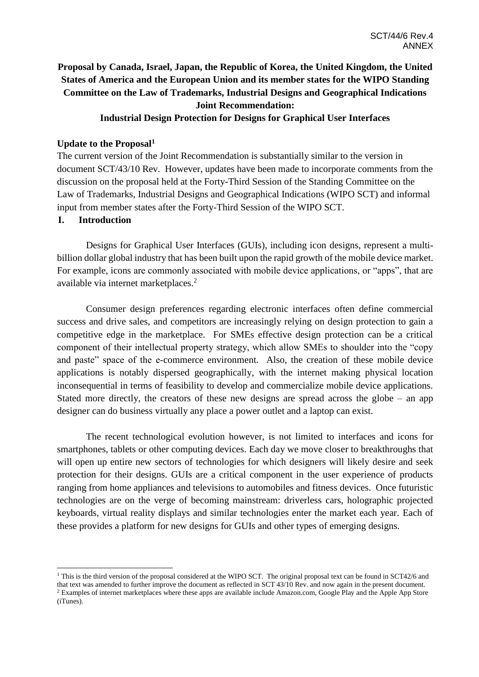# **Proposal by Canada, Israel, Japan, the Republic of Korea, the United Kingdom, the United States of America and the European Union and its member states for the WIPO Standing Committee on the Law of Trademarks, Industrial Designs and Geographical Indications Joint Recommendation:**

# **Industrial Design Protection for Designs for Graphical User Interfaces**

## **Update to the Proposal<sup>1</sup>**

The current version of the Joint Recommendation is substantially similar to the version in document SCT/43/10 Rev. However, updates have been made to incorporate comments from the discussion on the proposal held at the Forty-Third Session of the Standing Committee on the Law of Trademarks, Industrial Designs and Geographical Indications (WIPO SCT) and informal input from member states after the Forty-Third Session of the WIPO SCT.

### **I. Introduction**

Designs for Graphical User Interfaces (GUIs), including icon designs, represent a multibillion dollar global industry that has been built upon the rapid growth of the mobile device market. For example, icons are commonly associated with mobile device applications, or "apps", that are available via internet marketplaces. 2

Consumer design preferences regarding electronic interfaces often define commercial success and drive sales, and competitors are increasingly relying on design protection to gain a competitive edge in the marketplace. For SMEs effective design protection can be a critical component of their intellectual property strategy, which allow SMEs to shoulder into the "copy and paste" space of the e-commerce environment. Also, the creation of these mobile device applications is notably dispersed geographically, with the internet making physical location inconsequential in terms of feasibility to develop and commercialize mobile device applications. Stated more directly, the creators of these new designs are spread across the globe – an app designer can do business virtually any place a power outlet and a laptop can exist.

The recent technological evolution however, is not limited to interfaces and icons for smartphones, tablets or other computing devices. Each day we move closer to breakthroughs that will open up entire new sectors of technologies for which designers will likely desire and seek protection for their designs. GUIs are a critical component in the user experience of products ranging from home appliances and televisions to automobiles and fitness devices. Once futuristic technologies are on the verge of becoming mainstream: driverless cars, holographic projected keyboards, virtual reality displays and similar technologies enter the market each year. Each of these provides a platform for new designs for GUIs and other types of emerging designs.

<sup>&</sup>lt;sup>1</sup> This is the third version of the proposal considered at the WIPO SCT. The original proposal text can be found in SCT42/6 and that text was amended to further improve the document as reflected in SCT 43/10 Rev. and now again in the present document. <sup>2</sup> Examples of internet marketplaces where these apps are available include Amazon.com, Google Play and the Apple App Store (iTunes).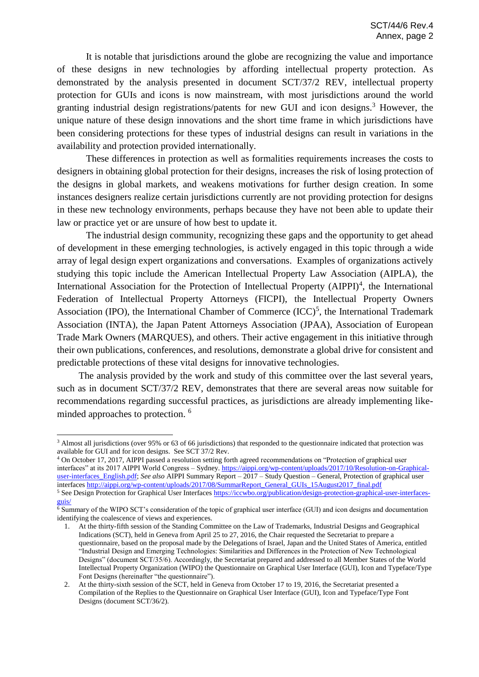It is notable that jurisdictions around the globe are recognizing the value and importance of these designs in new technologies by affording intellectual property protection. As demonstrated by the analysis presented in document SCT/37/2 REV, intellectual property protection for GUIs and icons is now mainstream, with most jurisdictions around the world granting industrial design registrations/patents for new GUI and icon designs. <sup>3</sup> However, the unique nature of these design innovations and the short time frame in which jurisdictions have been considering protections for these types of industrial designs can result in variations in the availability and protection provided internationally.

These differences in protection as well as formalities requirements increases the costs to designers in obtaining global protection for their designs, increases the risk of losing protection of the designs in global markets, and weakens motivations for further design creation. In some instances designers realize certain jurisdictions currently are not providing protection for designs in these new technology environments, perhaps because they have not been able to update their law or practice yet or are unsure of how best to update it.

The industrial design community, recognizing these gaps and the opportunity to get ahead of development in these emerging technologies, is actively engaged in this topic through a wide array of legal design expert organizations and conversations. Examples of organizations actively studying this topic include the American Intellectual Property Law Association (AIPLA), the International Association for the Protection of Intellectual Property (AIPPI)<sup>4</sup>, the International Federation of Intellectual Property Attorneys (FICPI), the Intellectual Property Owners Association (IPO), the International Chamber of Commerce  $(ICC)^5$ , the International Trademark Association (INTA), the Japan Patent Attorneys Association (JPAA), Association of European Trade Mark Owners (MARQUES), and others. Their active engagement in this initiative through their own publications, conferences, and resolutions, demonstrate a global drive for consistent and predictable protections of these vital designs for innovative technologies.

The analysis provided by the work and study of this committee over the last several years, such as in document SCT/37/2 REV, demonstrates that there are several areas now suitable for recommendations regarding successful practices, as jurisdictions are already implementing likeminded approaches to protection. <sup>6</sup>

 $\overline{a}$ 

<sup>4</sup> On October 17, 2017, AIPPI passed a resolution setting forth agreed recommendations on "Protection of graphical user interfaces" at its 2017 AIPPI World Congress – Sydney. [https://aippi.org/wp-content/uploads/2017/10/Resolution-on-Graphical](https://aippi.org/wp-content/uploads/2017/10/Resolution-on-Graphical-user-interfaces_English.pdf)[user-interfaces\\_English.pdf;](https://aippi.org/wp-content/uploads/2017/10/Resolution-on-Graphical-user-interfaces_English.pdf) *See also* AIPPI Summary Report – 2017 – Study Question – General, Protection of graphical user interfaces http://aippi.org/wp-content/uploads/2017/08/SummarReport\_General\_GUIs\_15August2017\_final.pdf <sup>5</sup> See Design Protection for Graphical User Interfaces [https://iccwbo.org/publication/design-protection-graphical-user-interfaces](https://iccwbo.org/publication/design-protection-graphical-user-interfaces-guis/)[guis/](https://iccwbo.org/publication/design-protection-graphical-user-interfaces-guis/)

<sup>&</sup>lt;sup>3</sup> Almost all jurisdictions (over 95% or 63 of 66 jurisdictions) that responded to the questionnaire indicated that protection was available for GUI and for icon designs. See SCT 37/2 Rev.

<sup>6</sup> Summary of the WIPO SCT's consideration of the topic of graphical user interface (GUI) and icon designs and documentation identifying the coalescence of views and experiences.

<sup>1.</sup> At the thirty-fifth session of the Standing Committee on the Law of Trademarks, Industrial Designs and Geographical Indications (SCT), held in Geneva from April 25 to 27, 2016, the Chair requested the Secretariat to prepare a questionnaire, based on the proposal made by the Delegations of Israel, Japan and the United States of America, entitled "Industrial Design and Emerging Technologies: Similarities and Differences in the Protection of New Technological Designs" (document SCT/35/6). Accordingly, the Secretariat prepared and addressed to all Member States of the World Intellectual Property Organization (WIPO) the Questionnaire on Graphical User Interface (GUI), Icon and Typeface/Type Font Designs (hereinafter "the questionnaire").

<sup>2.</sup> At the thirty-sixth session of the SCT, held in Geneva from October 17 to 19, 2016, the Secretariat presented a Compilation of the Replies to the Questionnaire on Graphical User Interface (GUI), Icon and Typeface/Type Font Designs (document SCT/36/2).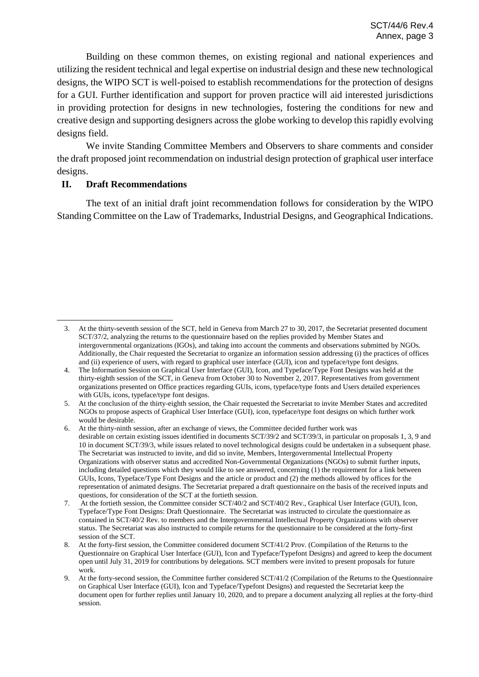Building on these common themes, on existing regional and national experiences and utilizing the resident technical and legal expertise on industrial design and these new technological designs, the WIPO SCT is well-poised to establish recommendations for the protection of designs for a GUI. Further identification and support for proven practice will aid interested jurisdictions in providing protection for designs in new technologies, fostering the conditions for new and creative design and supporting designers across the globe working to develop this rapidly evolving designs field.

We invite Standing Committee Members and Observers to share comments and consider the draft proposed joint recommendation on industrial design protection of graphical user interface designs.

## **II. Draft Recommendations**

 $\overline{a}$ 

The text of an initial draft joint recommendation follows for consideration by the WIPO Standing Committee on the Law of Trademarks, Industrial Designs, and Geographical Indications.

<sup>3.</sup> At the thirty-seventh session of the SCT, held in Geneva from March 27 to 30, 2017, the Secretariat presented document SCT/37/2, analyzing the returns to the questionnaire based on the replies provided by Member States and intergovernmental organizations (IGOs), and taking into account the comments and observations submitted by NGOs. Additionally, the Chair requested the Secretariat to organize an information session addressing (i) the practices of offices and (ii) experience of users, with regard to graphical user interface (GUI), icon and typeface/type font designs.

<sup>4.</sup> The Information Session on Graphical User Interface (GUI), Icon, and Typeface/Type Font Designs was held at the thirty-eighth session of the SCT, in Geneva from October 30 to November 2, 2017. Representatives from government organizations presented on Office practices regarding GUIs, icons, typeface/type fonts and Users detailed experiences with GUIs, icons, typeface/type font designs.

<sup>5.</sup> At the conclusion of the thirty-eighth session, the Chair requested the Secretariat to invite Member States and accredited NGOs to propose aspects of Graphical User Interface (GUI), icon, typeface/type font designs on which further work would be desirable.

<sup>6.</sup> At the thirty-ninth session, after an exchange of views, the Committee decided further work was desirable on certain existing issues identified in documents SCT/39/2 and SCT/39/3, in particular on proposals 1, 3, 9 and 10 in document SCT/39/3, while issues related to novel technological designs could be undertaken in a subsequent phase. The Secretariat was instructed to invite, and did so invite, Members, Intergovernmental Intellectual Property Organizations with observer status and accredited Non-Governmental Organizations (NGOs) to submit further inputs, including detailed questions which they would like to see answered, concerning (1) the requirement for a link between GUIs, Icons, Typeface/Type Font Designs and the article or product and (2) the methods allowed by offices for the representation of animated designs. The Secretariat prepared a draft questionnaire on the basis of the received inputs and questions, for consideration of the SCT at the fortieth session.

<sup>7.</sup> At the fortieth session, the Committee consider SCT/40/2 and SCT/40/2 Rev., Graphical User Interface (GUI), Icon, Typeface/Type Font Designs: Draft Questionnaire. The Secretariat was instructed to circulate the questionnaire as contained in SCT/40/2 Rev. to members and the Intergovernmental Intellectual Property Organizations with observer status. The Secretariat was also instructed to compile returns for the questionnaire to be considered at the forty-first session of the SCT.

<sup>8.</sup> At the forty-first session, the Committee considered document SCT/41/2 Prov. (Compilation of the Returns to the Questionnaire on Graphical User Interface (GUI), Icon and Typeface/Typefont Designs) and agreed to keep the document open until July 31, 2019 for contributions by delegations. SCT members were invited to present proposals for future work.

<sup>9.</sup> At the forty-second session, the Committee further considered SCT/41/2 (Compilation of the Returns to the Questionnaire on Graphical User Interface (GUI), Icon and Typeface/Typefont Designs) and requested the Secretariat keep the document open for further replies until January 10, 2020, and to prepare a document analyzing all replies at the forty-third session.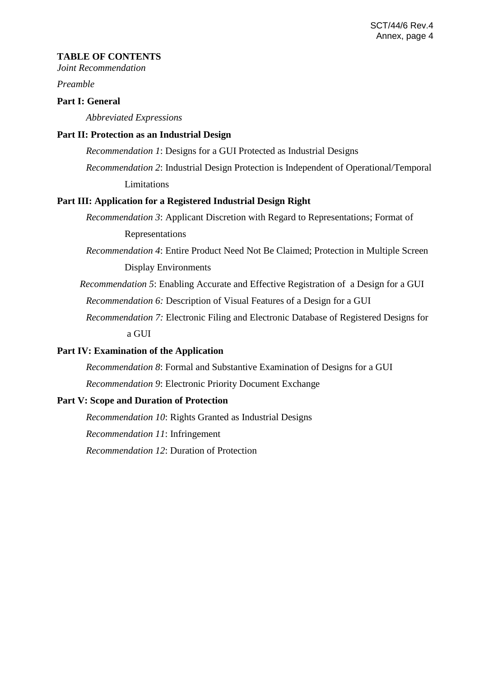#### **TABLE OF CONTENTS**

*Joint Recommendation*

*Preamble* 

## **Part I: General**

*Abbreviated Expressions*

#### **Part II: Protection as an Industrial Design**

*Recommendation 1*: Designs for a GUI Protected as Industrial Designs

*Recommendation 2*: Industrial Design Protection is Independent of Operational/Temporal **Limitations** 

#### **Part III: Application for a Registered Industrial Design Right**

*Recommendation 3*: Applicant Discretion with Regard to Representations; Format of Representations

*Recommendation 4*: Entire Product Need Not Be Claimed; Protection in Multiple Screen Display Environments

*Recommendation 5*: Enabling Accurate and Effective Registration of a Design for a GUI *Recommendation 6:* Description of Visual Features of a Design for a GUI

*Recommendation 7:* Electronic Filing and Electronic Database of Registered Designs for a GUI

## **Part IV: Examination of the Application**

*Recommendation 8*: Formal and Substantive Examination of Designs for a GUI

*Recommendation 9*: Electronic Priority Document Exchange

# **Part V: Scope and Duration of Protection**

*Recommendation 10*: Rights Granted as Industrial Designs

*Recommendation 11*: Infringement

*Recommendation 12*: Duration of Protection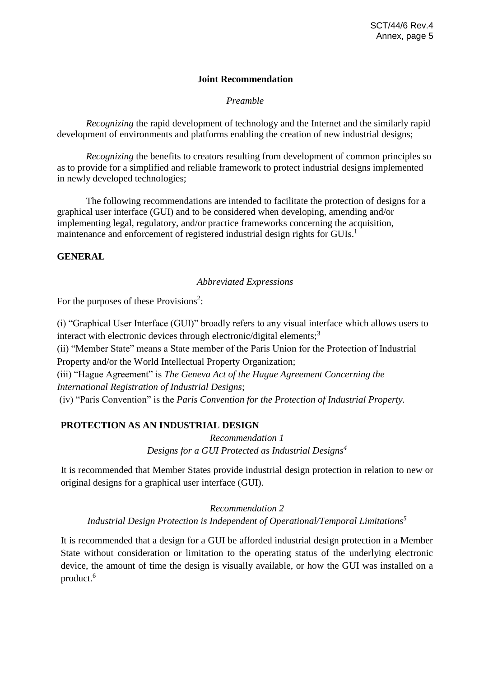# **Joint Recommendation**

*Preamble*

*Recognizing* the rapid development of technology and the Internet and the similarly rapid development of environments and platforms enabling the creation of new industrial designs;

*Recognizing* the benefits to creators resulting from development of common principles so as to provide for a simplified and reliable framework to protect industrial designs implemented in newly developed technologies;

The following recommendations are intended to facilitate the protection of designs for a graphical user interface (GUI) and to be considered when developing, amending and/or implementing legal, regulatory, and/or practice frameworks concerning the acquisition, maintenance and enforcement of registered industrial design rights for GUIs.<sup>1</sup>

## **GENERAL**

### *Abbreviated Expressions*

For the purposes of these Provisions<sup>2</sup>:

(i) "Graphical User Interface (GUI)" broadly refers to any visual interface which allows users to interact with electronic devices through electronic/digital elements;<sup>3</sup>

(ii) "Member State" means a State member of the Paris Union for the Protection of Industrial Property and/or the World Intellectual Property Organization;

(iii) "Hague Agreement" is *The Geneva Act of the Hague Agreement Concerning the International Registration of Industrial Designs*;

(iv) "Paris Convention" is the *Paris Convention for the Protection of Industrial Property.*

# **PROTECTION AS AN INDUSTRIAL DESIGN**

*Recommendation 1 Designs for a GUI Protected as Industrial Designs<sup>4</sup>*

It is recommended that Member States provide industrial design protection in relation to new or original designs for a graphical user interface (GUI).

## *Recommendation 2*

*Industrial Design Protection is Independent of Operational/Temporal Limitations<sup>5</sup>*

It is recommended that a design for a GUI be afforded industrial design protection in a Member State without consideration or limitation to the operating status of the underlying electronic device, the amount of time the design is visually available, or how the GUI was installed on a product.<sup>6</sup>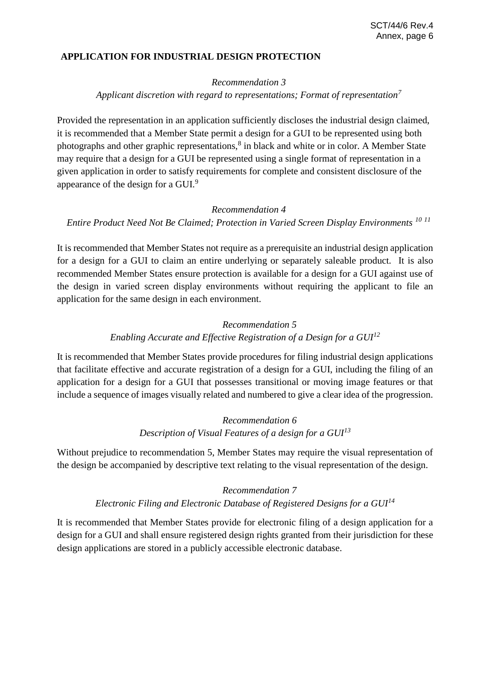## **APPLICATION FOR INDUSTRIAL DESIGN PROTECTION**

#### *Recommendation 3*

## *Applicant discretion with regard to representations; Format of representation<sup>7</sup>*

Provided the representation in an application sufficiently discloses the industrial design claimed, it is recommended that a Member State permit a design for a GUI to be represented using both photographs and other graphic representations,<sup>8</sup> in black and white or in color. A Member State may require that a design for a GUI be represented using a single format of representation in a given application in order to satisfy requirements for complete and consistent disclosure of the appearance of the design for a GUI.<sup>9</sup>

### *Recommendation 4*

*Entire Product Need Not Be Claimed; Protection in Varied Screen Display Environments <sup>10</sup> <sup>11</sup>*

It is recommended that Member States not require as a prerequisite an industrial design application for a design for a GUI to claim an entire underlying or separately saleable product. It is also recommended Member States ensure protection is available for a design for a GUI against use of the design in varied screen display environments without requiring the applicant to file an application for the same design in each environment.

# *Recommendation 5 Enabling Accurate and Effective Registration of a Design for a GUI<sup>12</sup>*

It is recommended that Member States provide procedures for filing industrial design applications that facilitate effective and accurate registration of a design for a GUI, including the filing of an application for a design for a GUI that possesses transitional or moving image features or that include a sequence of images visually related and numbered to give a clear idea of the progression.

# *Recommendation 6 Description of Visual Features of a design for a GUI<sup>13</sup>*

Without prejudice to recommendation 5, Member States may require the visual representation of the design be accompanied by descriptive text relating to the visual representation of the design.

### *Recommendation 7*

### *Electronic Filing and Electronic Database of Registered Designs for a GUI<sup>14</sup>*

It is recommended that Member States provide for electronic filing of a design application for a design for a GUI and shall ensure registered design rights granted from their jurisdiction for these design applications are stored in a publicly accessible electronic database.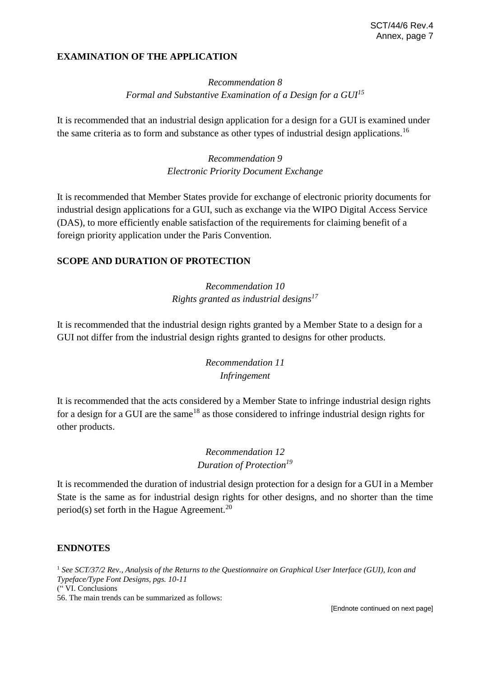# **EXAMINATION OF THE APPLICATION**

# *Recommendation 8 Formal and Substantive Examination of a Design for a GUI<sup>15</sup>*

It is recommended that an industrial design application for a design for a GUI is examined under the same criteria as to form and substance as other types of industrial design applications.<sup>16</sup>

> *Recommendation 9 Electronic Priority Document Exchange*

It is recommended that Member States provide for exchange of electronic priority documents for industrial design applications for a GUI, such as exchange via the WIPO Digital Access Service (DAS), to more efficiently enable satisfaction of the requirements for claiming benefit of a foreign priority application under the Paris Convention.

# **SCOPE AND DURATION OF PROTECTION**

# *Recommendation 10 Rights granted as industrial designs<sup>17</sup>*

It is recommended that the industrial design rights granted by a Member State to a design for a GUI not differ from the industrial design rights granted to designs for other products.

# *Recommendation 11 Infringement*

It is recommended that the acts considered by a Member State to infringe industrial design rights for a design for a GUI are the same<sup>18</sup> as those considered to infringe industrial design rights for other products.

# *Recommendation 12 Duration of Protection<sup>19</sup>*

It is recommended the duration of industrial design protection for a design for a GUI in a Member State is the same as for industrial design rights for other designs, and no shorter than the time period(s) set forth in the Hague Agreement.<sup>20</sup>

### **ENDNOTES**

<sup>1</sup> *See SCT/37/2 Rev., Analysis of the Returns to the Questionnaire on Graphical User Interface (GUI), Icon and Typeface/Type Font Designs, pgs. 10-11* (" VI. Conclusions 56. The main trends can be summarized as follows:

[Endnote continued on next page]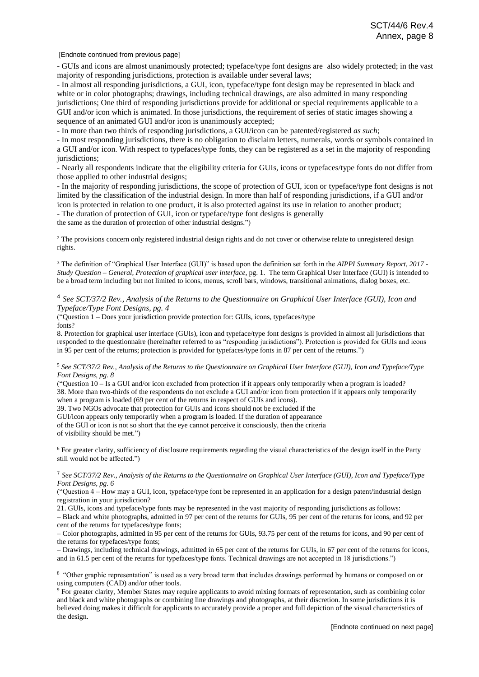[Endnote continued from previous page]

- GUIs and icons are almost unanimously protected; typeface/type font designs are also widely protected; in the vast majority of responding jurisdictions, protection is available under several laws;

- In almost all responding jurisdictions, a GUI, icon, typeface/type font design may be represented in black and white or in color photographs; drawings, including technical drawings, are also admitted in many responding jurisdictions; One third of responding jurisdictions provide for additional or special requirements applicable to a GUI and/or icon which is animated. In those jurisdictions, the requirement of series of static images showing a sequence of an animated GUI and/or icon is unanimously accepted;

- In more than two thirds of responding jurisdictions, a GUI/icon can be patented/registered *as such*;

- In most responding jurisdictions, there is no obligation to disclaim letters, numerals, words or symbols contained in a GUI and/or icon. With respect to typefaces/type fonts, they can be registered as a set in the majority of responding jurisdictions;

- Nearly all respondents indicate that the eligibility criteria for GUIs, icons or typefaces/type fonts do not differ from those applied to other industrial designs;

- In the majority of responding jurisdictions, the scope of protection of GUI, icon or typeface/type font designs is not limited by the classification of the industrial design. In more than half of responding jurisdictions, if a GUI and/or icon is protected in relation to one product, it is also protected against its use in relation to another product;

- The duration of protection of GUI, icon or typeface/type font designs is generally

the same as the duration of protection of other industrial designs.")

<sup>2</sup> The provisions concern only registered industrial design rights and do not cover or otherwise relate to unregistered design rights.

<sup>3</sup> The definition of "Graphical User Interface (GUI)" is based upon the definition set forth in the *AIPPI Summary Report, 2017 - Study Question – General, Protection of graphical user interface*, pg. 1. The term Graphical User Interface (GUI) is intended to be a broad term including but not limited to icons, menus, scroll bars, windows, transitional animations, dialog boxes, etc.

#### 4 *See SCT/37/2 Rev., Analysis of the Returns to the Questionnaire on Graphical User Interface (GUI), Icon and Typeface/Type Font Designs, pg. 4*

("Question 1 – Does your jurisdiction provide protection for: GUIs, icons, typefaces/type fonts?

8. Protection for graphical user interface (GUIs), icon and typeface/type font designs is provided in almost all jurisdictions that responded to the questionnaire (hereinafter referred to as "responding jurisdictions"). Protection is provided for GUIs and icons in 95 per cent of the returns; protection is provided for typefaces/type fonts in 87 per cent of the returns.")

<sup>5</sup> *See SCT/37/2 Rev., Analysis of the Returns to the Questionnaire on Graphical User Interface (GUI), Icon and Typeface/Type Font Designs, pg. 8*

("Question 10 – Is a GUI and/or icon excluded from protection if it appears only temporarily when a program is loaded? 38. More than two-thirds of the respondents do not exclude a GUI and/or icon from protection if it appears only temporarily when a program is loaded (69 per cent of the returns in respect of GUIs and icons).

39. Two NGOs advocate that protection for GUIs and icons should not be excluded if the

GUI/icon appears only temporarily when a program is loaded. If the duration of appearance

of the GUI or icon is not so short that the eye cannot perceive it consciously, then the criteria of visibility should be met.")

<sup>6</sup> For greater clarity, sufficiency of disclosure requirements regarding the visual characteristics of the design itself in the Party still would not be affected.")

#### <sup>7</sup> *See SCT/37/2 Rev., Analysis of the Returns to the Questionnaire on Graphical User Interface (GUI), Icon and Typeface/Type Font Designs, pg. 6*

("Question 4 – How may a GUI, icon, typeface/type font be represented in an application for a design patent/industrial design registration in your jurisdiction?

21. GUIs, icons and typeface/type fonts may be represented in the vast majority of responding jurisdictions as follows: – Black and white photographs, admitted in 97 per cent of the returns for GUIs, 95 per cent of the returns for icons, and 92 per cent of the returns for typefaces/type fonts;

– Color photographs, admitted in 95 per cent of the returns for GUIs, 93.75 per cent of the returns for icons, and 90 per cent of the returns for typefaces/type fonts;

– Drawings, including technical drawings, admitted in 65 per cent of the returns for GUIs, in 67 per cent of the returns for icons, and in 61.5 per cent of the returns for typefaces/type fonts. Technical drawings are not accepted in 18 jurisdictions.")

8 "Other graphic representation" is used as a very broad term that includes drawings performed by humans or composed on or using computers (CAD) and/or other tools.

<sup>9</sup> For greater clarity, Member States may require applicants to avoid mixing formats of representation, such as combining color and black and white photographs or combining line drawings and photographs, at their discretion. In some jurisdictions it is believed doing makes it difficult for applicants to accurately provide a proper and full depiction of the visual characteristics of the design.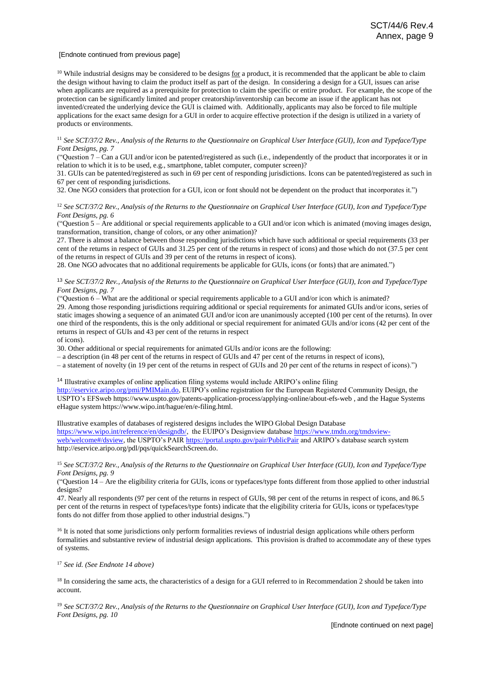#### [Endnote continued from previous page]

 $10$  While industrial designs may be considered to be designs  $for$  a product, it is recommended that the applicant be able to claim</u> the design without having to claim the product itself as part of the design. In considering a design for a GUI, issues can arise when applicants are required as a prerequisite for protection to claim the specific or entire product. For example, the scope of the protection can be significantly limited and proper creatorship/inventorship can become an issue if the applicant has not invented/created the underlying device the GUI is claimed with. Additionally, applicants may also be forced to file multiple applications for the exact same design for a GUI in order to acquire effective protection if the design is utilized in a variety of products or environments.

<sup>11</sup> *See SCT/37/2 Rev., Analysis of the Returns to the Questionnaire on Graphical User Interface (GUI), Icon and Typeface/Type Font Designs, pg. 7*

("Question 7 – Can a GUI and/or icon be patented/registered as such (i.e., independently of the product that incorporates it or in relation to which it is to be used, e.g., smartphone, tablet computer, computer screen)?

31. GUIs can be patented/registered as such in 69 per cent of responding jurisdictions. Icons can be patented/registered as such in 67 per cent of responding jurisdictions.

32. One NGO considers that protection for a GUI, icon or font should not be dependent on the product that incorporates it.")

<sup>12</sup> *See SCT/37/2 Rev., Analysis of the Returns to the Questionnaire on Graphical User Interface (GUI), Icon and Typeface/Type Font Designs, pg. 6*

("Question 5 – Are additional or special requirements applicable to a GUI and/or icon which is animated (moving images design, transformation, transition, change of colors, or any other animation)?

27. There is almost a balance between those responding jurisdictions which have such additional or special requirements (33 per cent of the returns in respect of GUIs and 31.25 per cent of the returns in respect of icons) and those which do not (37.5 per cent of the returns in respect of GUIs and 39 per cent of the returns in respect of icons).

28. One NGO advocates that no additional requirements be applicable for GUIs, icons (or fonts) that are animated.")

<sup>13</sup> *See SCT/37/2 Rev., Analysis of the Returns to the Questionnaire on Graphical User Interface (GUI), Icon and Typeface/Type Font Designs, pg. 7*

("Question  $6 -$  What are the additional or special requirements applicable to a GUI and/or icon which is animated?

29. Among those responding jurisdictions requiring additional or special requirements for animated GUIs and/or icons, series of static images showing a sequence of an animated GUI and/or icon are unanimously accepted (100 per cent of the returns). In over one third of the respondents, this is the only additional or special requirement for animated GUIs and/or icons (42 per cent of the returns in respect of GUIs and 43 per cent of the returns in respect

of icons).

30. Other additional or special requirements for animated GUIs and/or icons are the following:

– a description (in 48 per cent of the returns in respect of GUIs and 47 per cent of the returns in respect of icons),

– a statement of novelty (in 19 per cent of the returns in respect of GUIs and 20 per cent of the returns in respect of icons).")

<sup>14</sup> Illustrative examples of online application filing systems would include ARIPO's online filing

[http://eservice.aripo.org/pmi/PMIMain.do,](http://eservice.aripo.org/pmi/PMIMain.do) EUIPO's online registration for the European Registered Community Design, the USPTO's EFSweb https://www.uspto.gov/patents-application-process/applying-online/about-efs-web , and the Hague Systems eHague system https://www.wipo.int/hague/en/e-filing.html.

Illustrative examples of databases of registered designs includes the WIPO Global Design Database [https://www.wipo.int/reference/en/designdb/,](https://www.wipo.int/reference/en/designdb/) the EUIPO's Designview databas[e https://www.tmdn.org/tmdsview](https://www.tmdn.org/tmdsview-web/welcome#/dsview)[web/welcome#/dsview,](https://www.tmdn.org/tmdsview-web/welcome#/dsview) the USPTO's PAIR<https://portal.uspto.gov/pair/PublicPair> and ARIPO's database search system http://eservice.aripo.org/pdl/pqs/quickSearchScreen.do.

<sup>15</sup> *See SCT/37/2 Rev., Analysis of the Returns to the Questionnaire on Graphical User Interface (GUI), Icon and Typeface/Type Font Designs, pg. 9*

("Question 14 – Are the eligibility criteria for GUIs, icons or typefaces/type fonts different from those applied to other industrial designs?

47. Nearly all respondents (97 per cent of the returns in respect of GUIs, 98 per cent of the returns in respect of icons, and 86.5 per cent of the returns in respect of typefaces/type fonts) indicate that the eligibility criteria for GUIs, icons or typefaces/type fonts do not differ from those applied to other industrial designs.")

<sup>16</sup> It is noted that some jurisdictions only perform formalities reviews of industrial design applications while others perform formalities and substantive review of industrial design applications. This provision is drafted to accommodate any of these types of systems.

<sup>17</sup> *See id. (See Endnote 14 above)*

<sup>18</sup> In considering the same acts, the characteristics of a design for a GUI referred to in Recommendation 2 should be taken into account.

<sup>19</sup> *See SCT/37/2 Rev., Analysis of the Returns to the Questionnaire on Graphical User Interface (GUI), Icon and Typeface/Type Font Designs, pg. 10*